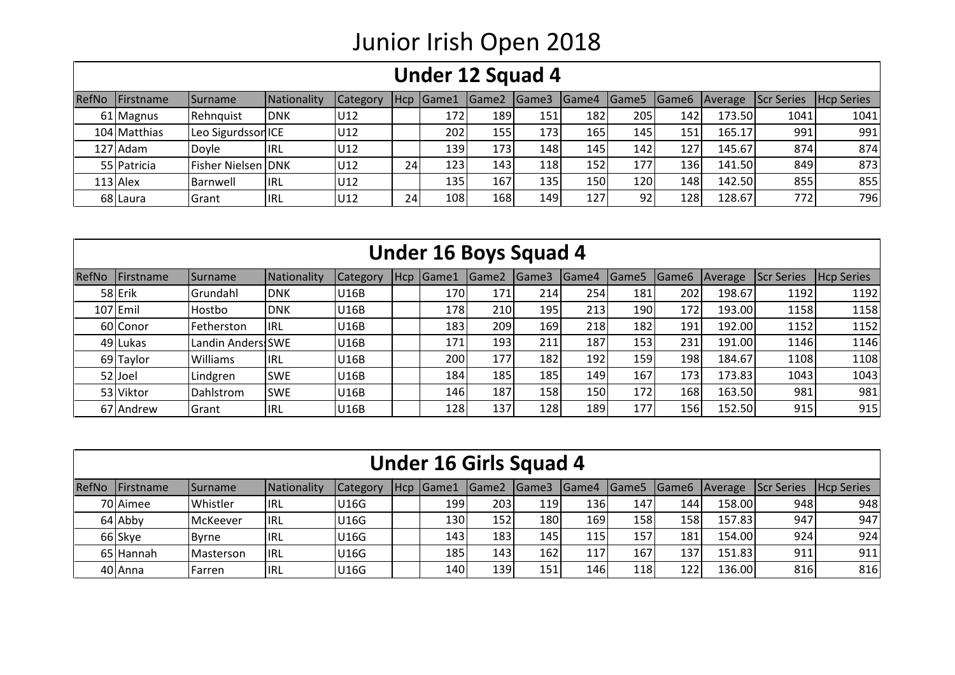## Junior Irish Open 2018

|       | Under 12 Squad 4 |                           |             |          |    |                  |                   |              |            |                   |     |         |                   |                   |
|-------|------------------|---------------------------|-------------|----------|----|------------------|-------------------|--------------|------------|-------------------|-----|---------|-------------------|-------------------|
| RefNo | Firstname        | <b>ISurname</b>           | Nationality | Category |    | Hcp Game1        | Game <sub>2</sub> | <b>Game3</b> |            | Game4 Game5 Game6 |     | Average | <b>Scr Series</b> | <b>Hcp Series</b> |
|       | 61 Magnus        | Rehnquist                 | <b>DNK</b>  | U12      |    | 172 <sub>1</sub> | 1891              | 151          | 1821       | 205               | 142 | 173.50  | 1041              | 1041              |
|       | 104 Matthias     | Leo Sigurdsson ICE        |             | U12      |    | 202              | 155               | 173          | <b>165</b> | 145               | 151 | 165.17  | 991               | 991               |
|       | 127 Adam         | Doyle                     | IRL.        | U12      |    | <b>1391</b>      | 173               | 148          | 145        | 142               | 127 | 145.67  | 874               | 874               |
|       | 55 Patricia      | <b>Fisher Nielsen DNK</b> |             | U12      | 24 | 123              | 143               | 118          | 152        | 177               | 136 | 141.50  | 849               | 873               |
|       | $113$ Alex       | Barnwell                  | <b>IRL</b>  | U12      |    | 135              | 167               | 135          | 150        | 120               | 148 | 142.50  | 855               | 855               |
|       | 68 Laura         | <b>IGrant</b>             | <b>IRL</b>  | U12      | 24 | 108              | 168               | 149          | 127        | 92                | 128 | 128.67  | 772               | 796               |

|       | <b>Under 16 Boys Squad 4</b> |                   |             |                 |     |       |                  |                |       |                   |                   |         |            |                   |
|-------|------------------------------|-------------------|-------------|-----------------|-----|-------|------------------|----------------|-------|-------------------|-------------------|---------|------------|-------------------|
| RefNo | Firstname                    | Surname           | Nationality | <b>Category</b> | Hcp | Game1 | Game2            | <b>I</b> Game3 | Game4 | Game <sub>5</sub> | Game <sub>6</sub> | Average | Scr Series | <b>Hcp Series</b> |
|       | 58 Erik                      | Grundahl          | <b>DNK</b>  | U16B            |     | 170   | 171              | 214            | 254   | 181               | 202               | 198.67  | 1192       | 1192              |
|       | $107$ Emil                   | Hostbo            | <b>DNK</b>  | <b>U16B</b>     |     | 178   | 210              | 195            | 213   | 190               | 172               | 193.00  | 1158       | 1158              |
|       | 60 Conor                     | Fetherston        | <b>IRL</b>  | U16B            |     | 183   | 209              | 169            | 218   | 182               | 191               | 192.00  | 1152       | 1152              |
|       | 49 Lukas                     | Landin Anders!SWE |             | U16B            |     | 171   | 193 <sub>1</sub> | 211            | 187   | 153               | 231               | 191.00  | 1146       | 1146              |
|       | 69 Taylor                    | <b>Williams</b>   | <b>IRL</b>  | U16B            |     | 200   | 177              | 182            | 192   | 159               | 198               | 184.67  | 1108       | 1108              |
|       | 52 Joel                      | Lindgren          | <b>SWE</b>  | U16B            |     | 184   | 185              | 185            | 149   | 167               | 173               | 173.83  | 1043       | 1043              |
|       | 53 Viktor                    | Dahlstrom         | <b>SWE</b>  | U16B            |     | 146   | 187              | 158            | 150   | 172               | 168               | 163.50  | 981        | 981               |
|       | 67 Andrew                    | Grant             | <b>IRL</b>  | U16B            |     | 128   | 137              | 128            | 189   | 177               | 156               | 152.50  | 915        | 915               |

| <b>Under 16 Girls Squad 4</b> |                |             |                 |  |             |                  |                  |      |     |     |                           |                    |                   |
|-------------------------------|----------------|-------------|-----------------|--|-------------|------------------|------------------|------|-----|-----|---------------------------|--------------------|-------------------|
| RefNo Firstname               | <b>Surname</b> | Nationality | <b>Category</b> |  | Hcp   Game1 | <b>I</b> Game2   | IGame3           |      |     |     | Game4 Game5 Game6 Average | <b>IScr Series</b> | <b>Hcp Series</b> |
| 70 Aimee                      | Whistler       | lirl        | <b>U16G</b>     |  | 199         | 2031             | 119              | 136I | 147 | 144 | 158.00                    | 948                | 948               |
| 64 Abby                       | McKeever       | <b>IIRL</b> | <b>U16G</b>     |  | 130         | 152              | 180              | 169  | 158 | 158 | 157.83                    | 947                | 947               |
| 66 Skye                       | <b>Byrne</b>   | <b>IRL</b>  | <b>U16G</b>     |  | 143         | 183 <sub>1</sub> | 145              | 115  | 157 | 181 | 154.00                    | 924                | 924               |
| 65 Hannah                     | Masterson      | <b>IRL</b>  | <b>U16G</b>     |  | 185         | 143 <sub>1</sub> | 162 <sub>1</sub> | 117  | 167 | 137 | 151.83                    | 911                | 911               |
| 40 Anna                       | Farren         | lirl        | <b>U16G</b>     |  | 140         | 139              | 151              | 146  | 118 | 122 | 136.00                    | 816                | 816               |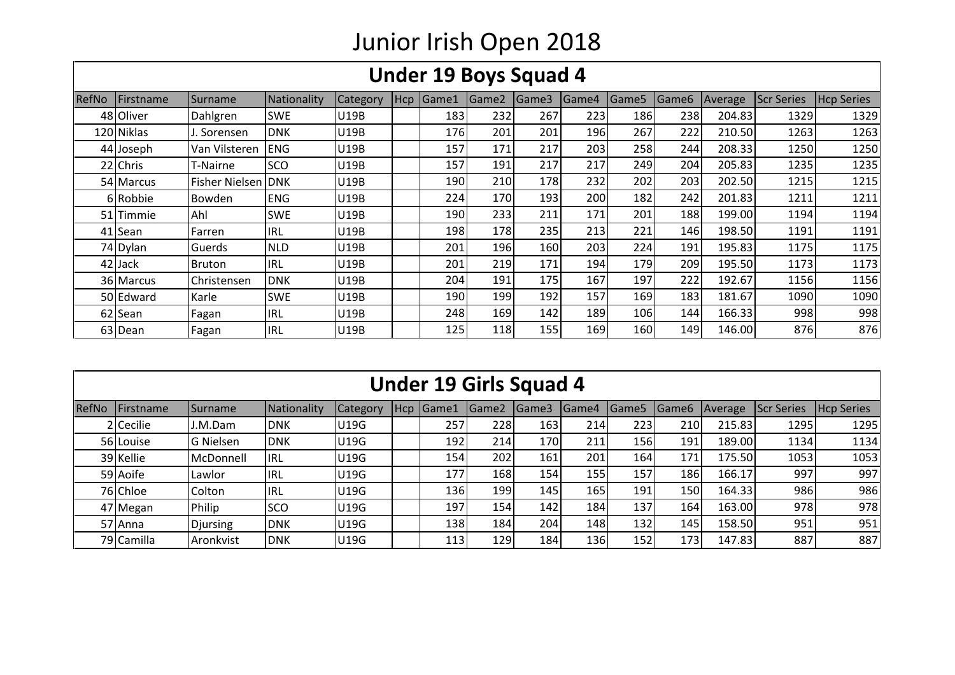## Junior Irish Open 2018

|               |            |                            |                    |             |     |       |                   | Under 19 Boys Squad 4 |       |                   |                   |         |                   |                   |
|---------------|------------|----------------------------|--------------------|-------------|-----|-------|-------------------|-----------------------|-------|-------------------|-------------------|---------|-------------------|-------------------|
| <b>IRefNo</b> | Firstname  | <b>Surname</b>             | <b>Nationality</b> | Category    | Hcp | Game1 | Game <sub>2</sub> | Game3                 | Game4 | Game <sub>5</sub> | Game <sub>6</sub> | Average | <b>Scr Series</b> | <b>Hcp Series</b> |
|               | 48 Oliver  | Dahlgren                   | <b>SWE</b>         | U19B        |     | 183   | 232               | 267                   | 223   | 186               | 238               | 204.83  | 1329              | 1329              |
|               | 120 Niklas | . Sorensen                 | <b>DNK</b>         | <b>U19B</b> |     | 176   | 201               | 201                   | 196   | 267               | 222               | 210.50  | 1263              | 1263              |
|               | 44 Joseph  | Van Vilsteren              | <b>ENG</b>         | U19B        |     | 157   | 171               | 217                   | 203   | 258               | 244               | 208.33  | 1250              | 1250              |
|               | 22 Chris   | T-Nairne                   | <b>SCO</b>         | U19B        |     | 157   | 191               | 217                   | 217   | 249               | 204               | 205.83  | 1235              | 1235              |
|               | 54 Marcus  | <b>Fisher Nielsen IDNK</b> |                    | U19B        |     | 190   | 210               | 178                   | 232   | 202               | 203               | 202.50  | 1215              | 1215              |
|               | 6 Robbie   | Bowden                     | <b>ENG</b>         | U19B        |     | 224   | 170               | 193                   | 200   | 182               | 242               | 201.83  | 1211              | 1211              |
|               | 51 Timmie  | Ahl                        | <b>SWE</b>         | U19B        |     | 190   | 233               | 211                   | 171   | 201               | 188               | 199.00  | 1194              | 1194              |
|               | 41 Sean    | Farren                     | <b>IRL</b>         | U19B        |     | 1981  | 178               | 235                   | 213   | 221               | 146               | 198.50  | 1191              | 1191              |
|               | 74 Dylan   | Guerds                     | <b>NLD</b>         | U19B        |     | 201   | 196               | 160                   | 203   | 224               | 191               | 195.83  | 1175              | 1175              |
|               | 42 Jack    | Bruton                     | <b>IRL</b>         | U19B        |     | 201   | 219               | 171                   | 194   | 179               | 209               | 195.50  | 1173              | 1173              |
|               | 36 Marcus  | Christensen                | <b>DNK</b>         | U19B        |     | 204   | 191               | 175                   | 167   | 197               | 222               | 192.67  | 1156              | 1156              |
|               | 50 Edward  | Karle                      | <b>SWE</b>         | <b>U19B</b> |     | 190   | 199               | 192                   | 157   | 169               | 183               | 181.67  | 1090              | 1090              |
|               | 62 Sean    | Fagan                      | <b>IRL</b>         | U19B        |     | 248   | 169               | 142                   | 189   | 106               | 144               | 166.33  | 998               | 998               |
|               | 63 Dean    | Fagan                      | <b>IRL</b>         | <b>U19B</b> |     | 125   | 118               | 155                   | 169   | 160               | 149               | 146.00  | 876               | 876               |

|       | <b>Under 19 Girls Squad 4</b> |                 |             |                 |       |                  |                   |        |       |                   |                   |         |                   |                   |  |
|-------|-------------------------------|-----------------|-------------|-----------------|-------|------------------|-------------------|--------|-------|-------------------|-------------------|---------|-------------------|-------------------|--|
| RefNo | Firstname                     | Surname         | Nationality | <b>Category</b> | l Hcp | Game1            | Game <sub>2</sub> | lGame3 | Game4 | Game <sub>5</sub> | Game <sub>6</sub> | Average | <b>Scr Series</b> | <b>Hcp Series</b> |  |
|       | 2 Cecilie                     | I.M.Dam         | <b>DNK</b>  | <b>U19G</b>     |       | 257              | 228               | 163    | 214   | 223               | 210               | 215.83  | 1295              | 1295              |  |
|       | 56 Louise                     | G Nielsen       | <b>DNK</b>  | <b>U19G</b>     |       | 192              | 214               | 170    | 211   | 156               | 191               | 189.00  | 1134              | 1134              |  |
|       | 39 Kellie                     | McDonnell       | IRL         | U19G            |       | 154              | 202               | 161    | 201   | 164               | 171               | 175.50  | 1053              | 1053              |  |
|       | 59 Aoife                      | Lawlor          | <b>IRL</b>  | <b>U19G</b>     |       | 177              | 168               | 154    | 155   | 157               | 186               | 166.17  | 997               | 997               |  |
|       | 76 Chloe                      | Colton          | <b>IRL</b>  | <b>U19G</b>     |       | 136 <sub>1</sub> | 199               | 145    | 165   | 191               | 150               | 164.33  | 986               | 986               |  |
|       | 47 Megan                      | Philip          | <b>SCO</b>  | <b>U19G</b>     |       | 197              | 154               | 142    | 184   | 137               | 164               | 163.00  | 978               | 978               |  |
|       | 57 Anna                       | <b>Djursing</b> | <b>DNK</b>  | <b>U19G</b>     |       | 138              | 184               | 204    | 148   | 132               | 145               | 158.50  | 951               | 951               |  |
|       | 79 Camilla                    | Aronkvist       | <b>DNK</b>  | <b>U19G</b>     |       | 113              | 129               | 184    | 136   | 152               | 173               | 147.83  | 887               | 887               |  |